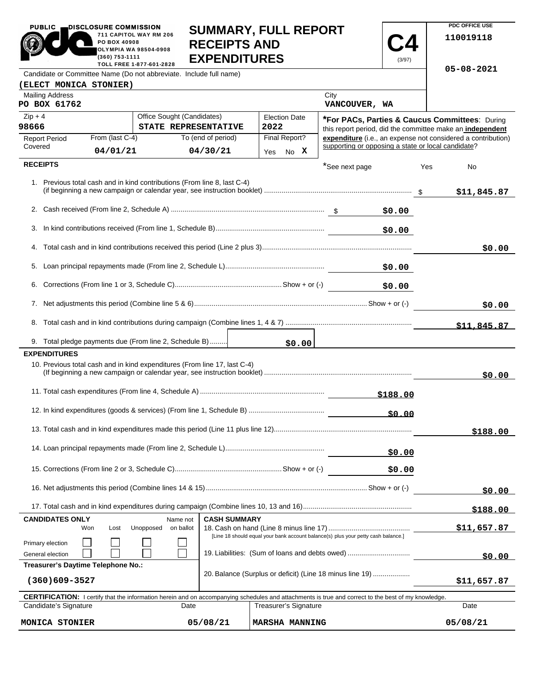| <b>PUBLIC</b>                                                                                                                                              | DISCLOSURE COMMISSION                          |                                                                                                                     |                                            | <b>SUMMARY, FULL REPORT</b> |                       |          | PDC OFFICE USE                                                                                                     |
|------------------------------------------------------------------------------------------------------------------------------------------------------------|------------------------------------------------|---------------------------------------------------------------------------------------------------------------------|--------------------------------------------|-----------------------------|-----------------------|----------|--------------------------------------------------------------------------------------------------------------------|
|                                                                                                                                                            | PO BOX 40908<br>(360) 753-1111                 | 711 CAPITOL WAY RM 206<br>OLYMPIA WA 98504-0908                                                                     | <b>RECEIPTS AND</b><br><b>EXPENDITURES</b> |                             |                       | (3/97)   | 110019118                                                                                                          |
| Candidate or Committee Name (Do not abbreviate. Include full name)                                                                                         |                                                | TOLL FREE 1-877-601-2828                                                                                            |                                            |                             |                       |          | 05-08-2021                                                                                                         |
| <b>(ELECT MONICA STONIER)</b>                                                                                                                              |                                                |                                                                                                                     |                                            |                             |                       |          |                                                                                                                    |
| <b>Mailing Address</b><br>PO BOX 61762                                                                                                                     |                                                |                                                                                                                     |                                            |                             | City<br>VANCOUVER, WA |          |                                                                                                                    |
| $Zip + 4$                                                                                                                                                  |                                                | Office Sought (Candidates)                                                                                          |                                            | <b>Election Date</b>        |                       |          | *For PACs, Parties & Caucus Committees: During                                                                     |
| 98666                                                                                                                                                      |                                                | STATE REPRESENTATIVE                                                                                                |                                            | 2022                        |                       |          | this report period, did the committee make an independent                                                          |
| <b>Report Period</b><br>Covered                                                                                                                            | From (last C-4)                                |                                                                                                                     | To (end of period)                         | Final Report?               |                       |          | expenditure (i.e., an expense not considered a contribution)<br>supporting or opposing a state or local candidate? |
|                                                                                                                                                            | 04/01/21                                       |                                                                                                                     | 04/30/21                                   | No X<br>Yes                 |                       |          |                                                                                                                    |
| <b>RECEIPTS</b>                                                                                                                                            |                                                | 1. Previous total cash and in kind contributions (From line 8, last C-4)                                            |                                            |                             | *See next page        |          | Yes<br>No.<br>\$11,845.87                                                                                          |
|                                                                                                                                                            |                                                |                                                                                                                     |                                            |                             |                       | \$0.00   |                                                                                                                    |
| 3.                                                                                                                                                         |                                                |                                                                                                                     |                                            |                             |                       | \$0.00   |                                                                                                                    |
|                                                                                                                                                            |                                                |                                                                                                                     |                                            |                             |                       |          | \$0.00                                                                                                             |
|                                                                                                                                                            | \$0.00                                         |                                                                                                                     |                                            |                             |                       |          |                                                                                                                    |
|                                                                                                                                                            | \$0.00                                         |                                                                                                                     |                                            |                             |                       |          |                                                                                                                    |
|                                                                                                                                                            |                                                |                                                                                                                     |                                            |                             |                       |          | \$0.00                                                                                                             |
|                                                                                                                                                            |                                                |                                                                                                                     |                                            |                             |                       |          | \$11,845.87                                                                                                        |
|                                                                                                                                                            |                                                | 9. Total pledge payments due (From line 2, Schedule B)                                                              |                                            | \$0.00                      |                       |          |                                                                                                                    |
| <b>EXPENDITURES</b>                                                                                                                                        |                                                |                                                                                                                     |                                            |                             |                       |          |                                                                                                                    |
|                                                                                                                                                            |                                                | 10. Previous total cash and in kind expenditures (From line 17, last C-4)                                           |                                            |                             |                       |          | \$0.00                                                                                                             |
|                                                                                                                                                            |                                                |                                                                                                                     |                                            |                             |                       | \$188.00 |                                                                                                                    |
|                                                                                                                                                            |                                                |                                                                                                                     |                                            |                             |                       |          |                                                                                                                    |
|                                                                                                                                                            |                                                |                                                                                                                     |                                            |                             |                       |          | \$188.00                                                                                                           |
| \$0.00                                                                                                                                                     |                                                |                                                                                                                     |                                            |                             |                       |          |                                                                                                                    |
|                                                                                                                                                            |                                                |                                                                                                                     |                                            |                             |                       | \$0.00   |                                                                                                                    |
|                                                                                                                                                            |                                                |                                                                                                                     |                                            |                             |                       | \$0.00   |                                                                                                                    |
|                                                                                                                                                            |                                                |                                                                                                                     |                                            |                             |                       |          | \$188.00                                                                                                           |
| <b>CASH SUMMARY</b><br><b>CANDIDATES ONLY</b><br>Name not                                                                                                  |                                                |                                                                                                                     |                                            |                             |                       |          |                                                                                                                    |
| Primary election                                                                                                                                           | Won                                            | Unopposed<br>on ballot<br>Lost<br>[Line 18 should equal your bank account balance(s) plus your petty cash balance.] |                                            |                             |                       |          | \$11,657.87                                                                                                        |
| General election                                                                                                                                           | 19. Liabilities: (Sum of loans and debts owed) |                                                                                                                     |                                            |                             |                       | \$0.00   |                                                                                                                    |
| Treasurer's Daytime Telephone No.:<br>20. Balance (Surplus or deficit) (Line 18 minus line 19)<br>$(360)609 - 3527$                                        |                                                |                                                                                                                     |                                            |                             | \$11,657.87           |          |                                                                                                                    |
| <b>CERTIFICATION:</b> I certify that the information herein and on accompanying schedules and attachments is true and correct to the best of my knowledge. |                                                |                                                                                                                     |                                            |                             |                       |          |                                                                                                                    |
| Candidate's Signature<br>Date                                                                                                                              |                                                |                                                                                                                     |                                            | Treasurer's Signature       |                       |          | Date                                                                                                               |
|                                                                                                                                                            | 05/08/21<br>MONICA STONIER                     |                                                                                                                     |                                            |                             | <b>MARSHA MANNING</b> |          |                                                                                                                    |